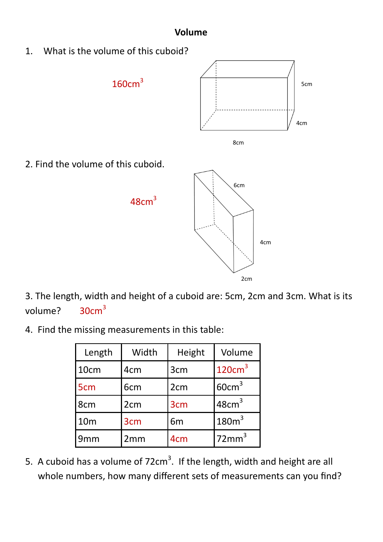## **Volume**

1. What is the volume of this cuboid?







2. Find the volume of this cuboid.



3. The length, width and height of a cuboid are: 5cm, 2cm and 3cm. What is its volume? 30cm<sup>3</sup>

4. Find the missing measurements in this table:

| Length          | Width           | Height          | Volume             |
|-----------------|-----------------|-----------------|--------------------|
| 10cm            | 4 <sub>cm</sub> | 3cm             | 120cm <sup>3</sup> |
| 5 <sub>cm</sub> | 6 <sub>cm</sub> | 2 <sub>cm</sub> | 60cm <sup>3</sup>  |
| 8cm             | 2 <sub>cm</sub> | 3 <sub>cm</sub> | 48cm <sup>3</sup>  |
| 10 <sub>m</sub> | 3cm             | 6 <sub>m</sub>  | 180m <sup>3</sup>  |
| 9 <sub>mm</sub> | 2mm             | 4 <sub>cm</sub> | 72mm <sup>3</sup>  |

5. A cuboid has a volume of  $72 \text{cm}^3$ . If the length, width and height are all whole numbers, how many different sets of measurements can you find?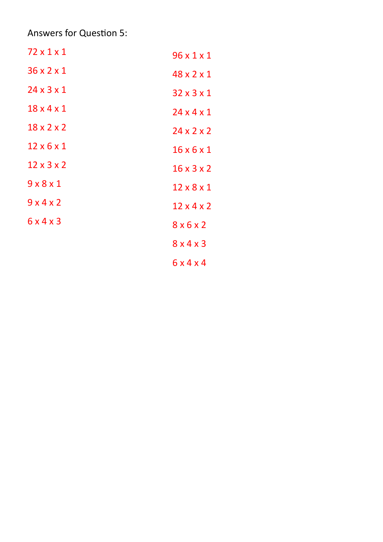Answers for Question 5:

| 72 x 1 x 1             | $96 \times 1 \times 1$ |
|------------------------|------------------------|
| $36 \times 2 \times 1$ | 48 x 2 x 1             |
| $24 \times 3 \times 1$ | $32 \times 3 \times 1$ |
| $18 \times 4 \times 1$ | $24 \times 4 \times 1$ |
| $18 \times 2 \times 2$ | $24 \times 2 \times 2$ |
| $12\times 6\times 1$   | $16 \times 6 \times 1$ |
| $12 \times 3 \times 2$ | $16 \times 3 \times 2$ |
| 9x8x1                  | $12 \times 8 \times 1$ |
| 9x4x2                  | $12 \times 4 \times 2$ |
| 6x4x3                  | 8x6x2                  |
|                        | 8x4x3                  |
|                        | 6x4x4                  |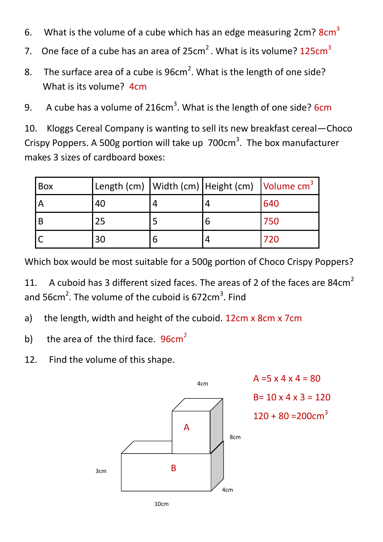- 6. What is the volume of a cube which has an edge measuring  $2cm$ ?  $8cm<sup>3</sup>$
- 7. One face of a cube has an area of  $25 \text{cm}^2$ . What is its volume?  $125 \text{cm}^3$
- 8. The surface area of a cube is  $96 \text{cm}^2$ . What is the length of one side? What is its volume? 4cm
- 9. A cube has a volume of 216cm<sup>3</sup>. What is the length of one side? 6cm

10. Kloggs Cereal Company is wanting to sell its new breakfast cereal—Choco Crispy Poppers. A 500g portion will take up  $700 \text{cm}^3$ . The box manufacturer makes 3 sizes of cardboard boxes:

| Box |    | Length (cm)   Width (cm)   Height (cm)   Volume cm <sup>3</sup> |     |
|-----|----|-----------------------------------------------------------------|-----|
|     | 40 |                                                                 | 640 |
| B   | 25 |                                                                 | 750 |
|     | 30 |                                                                 | 720 |

Which box would be most suitable for a 500g portion of Choco Crispy Poppers?

11. A cuboid has 3 different sized faces. The areas of 2 of the faces are 84 $cm<sup>2</sup>$ and 56 $cm^2$ . The volume of the cuboid is 672 $cm^3$ . Find

- a) the length, width and height of the cuboid. 12cm x 8cm x 7cm
- b) the area of the third face.  $96cm<sup>2</sup>$
- 12. Find the volume of this shape.



10cm